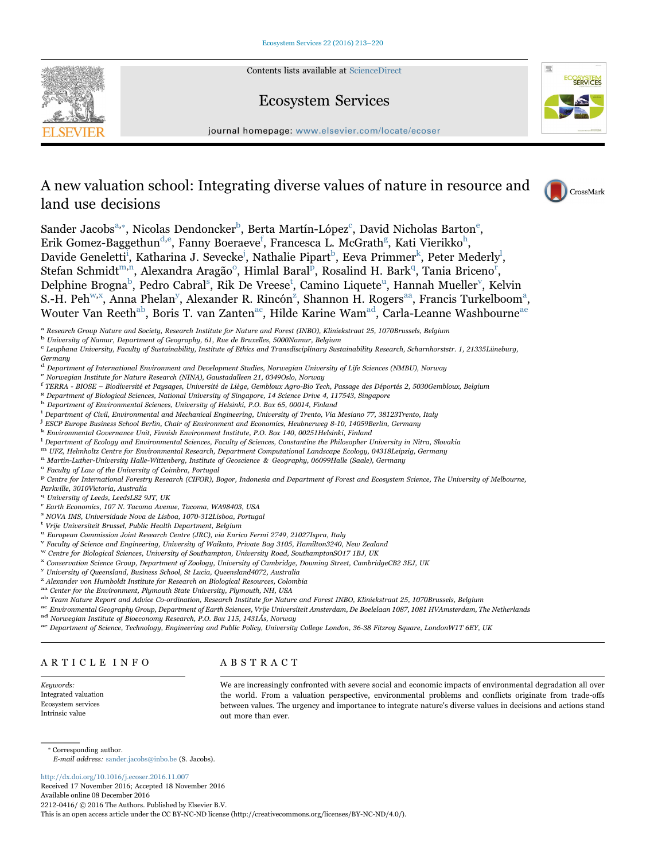Contents lists available at [ScienceDirect](http://www.sciencedirect.com/science/journal/22120416)

# Ecosystem Services



journal homepage: [www.elsevier.com/locate/ecoser](http://www.elsevier.com/locate/ecoser)

# A new valuation school: Integrating diverse values of nature in resource and land use decisions



Sander Jacobs $^{\mathrm{a},*}$  $^{\mathrm{a},*}$  $^{\mathrm{a},*}$ [, Nicolas Dendoncker](#page-0-1) $^{\mathrm{b}}$ [, Berta Martín-López](#page-0-2) $^{\mathrm{c}}$ [, David Nicholas Barton](#page-0-3) $^{\mathrm{e}}$ , Erik Gomez-Baggethun $^{\rm d,e}$  $^{\rm d,e}$  $^{\rm d,e}$ [, Fanny Boeraeve](#page-0-4) $^{\rm f}$ [,](#page-0-8) Francesca L. McGrath $^{\rm g}$ [, Kati Vierikko](#page-0-7) $^{\rm h}$ , Davide Geneletti<sup>ī</sup>[, Katharina J. Sevecke](#page-0-9)<sup>j</sup>[, Nathalie Pipart](#page-0-10)<sup>b</sup>, Eeva Primmer<sup>k</sup>[, Peter Mederly](#page-0-11)<sup>l</sup>[,](#page-0-12) Stefan Schmidt<sup>[m,n](#page-0-13)</sup>[, Alexandra Aragão](#page-0-14)<sup>o</sup>[, Himlal Baral](#page-0-15)<sup>p</sup>[, Rosalind H. Bark](#page-0-16)<sup>q</sup>[, Tania Briceno](#page-0-17)<sup>r</sup>[,](#page-0-18) Delphine Brogna<sup>b</sup>[, Pedro Cabral](#page-0-2)<sup>s</sup>, Rik De Vreese<sup>t</sup>[, Camino Liquete](#page-0-20)<sup>u</sup>[, Hannah Mueller](#page-0-21)<sup>v</sup>[, Kelvin](#page-0-22) S.-H. Peh<sup>[w,x](#page-0-23)</sup>[, Anna Phelan](#page-0-24)<sup>y</sup>[, Alexander R. Rincón](#page-0-25)<sup>z</sup>[, Shannon H. Rogers](#page-0-26)<sup>[a](#page-0-0)a</sup>, Francis Turkelboom<sup>a</sup>, Wouter Van Reeth[ab, Boris T. van Zanten](#page-0-28)[ac, Hilde Karine Wam](#page-0-29)[ad, Carla-Leanne Washbourne](#page-0-30)[ae](#page-0-31)

<span id="page-0-0"></span><sup>a</sup> Research Group Nature and Society, Research Institute for Nature and Forest (INBO), Kliniekstraat 25, 1070Brussels, Belgium

<span id="page-0-5"></span>d Department of International Environment and Development Studies, Norwegian University of Life Sciences (NMBU), Norway e Norwegian Institute for Nature Research (NINA), Gaustadalleen 21, 0349Oslo, Norway

- <span id="page-0-4"></span>
- <span id="page-0-6"></span><sup>f</sup> TERRA - BIOSE – Biodiversité et Paysages, Université de Liège, Gembloux Agro-Bio Tech, Passage des Déportés 2, 5030Gembloux, Belgium<br><sup>8</sup> Department of Biological Sciences, National University of Singapore, 14 Science D

<span id="page-0-7"></span> $^8$  Department of Biological Sciences, National University of Singapore, 14 Science Drive 4, 117543, Singapore  $^{\rm h}$  Department of Environmental Sciences, University of Helsinki, P.O. Box 65, 00014, Finland

<span id="page-0-8"></span>

<span id="page-0-9"></span><sup>1</sup> Department of Civil, Environmental and Mechanical Engineering, University of Trento, Via Mesiano 77, 38123Trento, Italy

<span id="page-0-10"></span>j ESCP Europe Business School Berlin, Chair of Environment and Economics, Heubnerweg 8-10, 14059Berlin, Germany

<span id="page-0-11"></span><sup>k</sup> Environmental Governance Unit, Finnish Environment Institute, P.O. Box 140, 00251Helsinki, Finland

<span id="page-0-12"></span><sup>1</sup> Department of Ecology and Environmental Sciences, Faculty of Sciences, Constantine the Philosopher University in Nitra, Slovakia

<span id="page-0-13"></span>m *LFZ, Helmholtz Centre for Environmental Research, Department Computational Landscape Ecology, 04318Leipzig, Germany*<br><sup>n</sup> Martin-Luther-University Halle-Wittenberg, Institute of Geoscience & Geography, 06099Halle (Saale

<span id="page-0-15"></span><span id="page-0-14"></span>

<span id="page-0-16"></span><sup>p</sup> Centre for International Forestry Research (CIFOR), Bogor, Indonesia and Department of Forest and Ecosystem Science, The University of Melbourne,

Parkville, 3010Victoria, Australia

- <span id="page-0-20"></span><span id="page-0-19"></span><sup>s</sup> NOVA IMS, Universidade Nova de Lisboa, 1070-312Lisboa, Portugal <sup>t</sup> Vrije Universiteit Brussel, Public Health Department, Belgium
- <span id="page-0-21"></span>

<span id="page-0-22"></span>u European Commission Joint Research Centre (JRC), via Enrico Fermi 2749, 21027Ispra, Italy v Faculty of Science and Engineering, University of Waikato, Private Bag 3105, Hamilton3240, New Zealand w Centre for Biological

- <span id="page-0-24"></span><span id="page-0-23"></span>x Conservation Science Group, Department of Zoology, University of Cambridge, Downing Street, CambridgeCB2 3EJ, UK
- <span id="page-0-25"></span> $y$  University of Queensland, Business School, St Lucia, Queensland4072, Australia
- <span id="page-0-26"></span>
- <span id="page-0-27"></span> $Z$  Alexander von Humboldt Institute for Research on Biological Resources, Colombia  $\frac{a_0}{b_0}$  Center for the Environment, Plymouth State University, Plymouth, NH, USA
- <span id="page-0-28"></span>
- <span id="page-0-29"></span>

ab Team Nature Report and Advice Co-ordination, Research Institute for Nature and Forest INBO, Kliniekstraat 25, 1070Brussels, Belgium<br>ac Environmental Geography Group, Department of Earth Sciences, Vrije Universiteit Amst

<span id="page-0-31"></span><span id="page-0-30"></span>

## ARTICLE INFO

## ABSTRACT

Keywords: Integrated valuation Ecosystem services Intrinsic value

We are increasingly confronted with severe social and economic impacts of environmental degradation all over the world. From a valuation perspective, environmental problems and conflicts originate from trade-offs between values. The urgency and importance to integrate nature's diverse values in decisions and actions stand out more than ever.

<span id="page-0-1"></span>⁎ Corresponding author.

E-mail address: sander.jacobs@inbo.be (S. Jacobs).

<http://dx.doi.org/10.1016/j.ecoser.2016.11.007> Received 17 November 2016; Accepted 18 November 2016 Available online 08 December 2016 2212-0416/ © 2016 The Authors. Published by Elsevier B.V.

This is an open access article under the CC BY-NC-ND license (http://creativecommons.org/licenses/BY-NC-ND/4.0/).

<span id="page-0-2"></span><sup>b</sup> University of Namur, Department of Geography, 61, Rue de Bruxelles, 5000Namur, Belgium

<span id="page-0-3"></span><sup>c</sup> Leuphana University, Faculty of Sustainability, Institute of Ethics and Transdisciplinary Sustainability Research, Scharnhorststr. 1, 21335Lüneburg, Germany

<span id="page-0-18"></span>

<span id="page-0-17"></span> $^{\mathrm{q}}$  University of Leeds, LeedsLS2 9JT, UK  $^{\mathrm{r}}$  Earth Economics, 107 N. Tacoma Avenue, Tacoma, WA98403, USA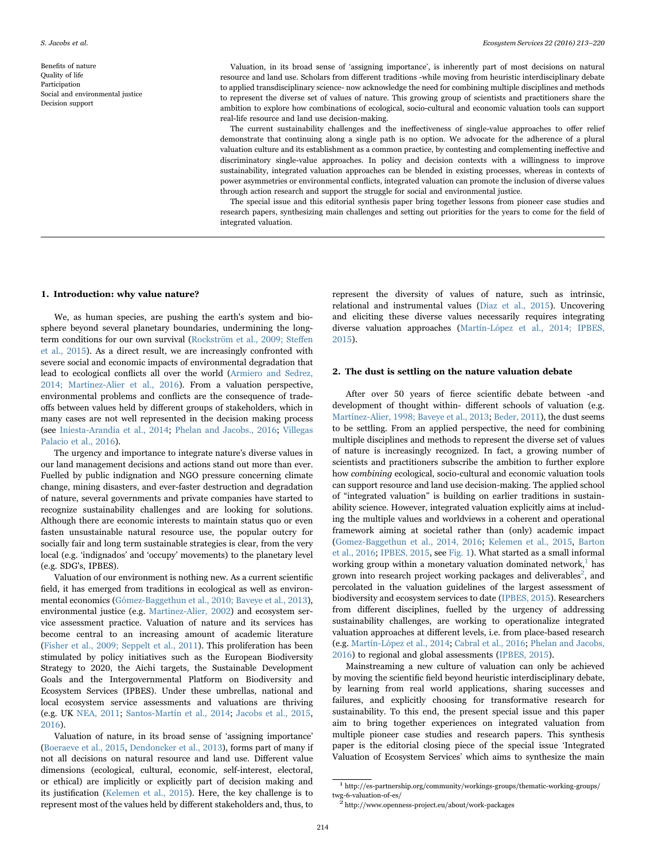Benefits of nature Quality of life Participation Social and environmental justice Decision support

Valuation, in its broad sense of 'assigning importance', is inherently part of most decisions on natural resource and land use. Scholars from different traditions -while moving from heuristic interdisciplinary debate to applied transdisciplinary science- now acknowledge the need for combining multiple disciplines and methods to represent the diverse set of values of nature. This growing group of scientists and practitioners share the ambition to explore how combinations of ecological, socio-cultural and economic valuation tools can support real-life resource and land use decision-making.

The current sustainability challenges and the ineffectiveness of single-value approaches to offer relief demonstrate that continuing along a single path is no option. We advocate for the adherence of a plural valuation culture and its establishment as a common practice, by contesting and complementing ineffective and discriminatory single-value approaches. In policy and decision contexts with a willingness to improve sustainability, integrated valuation approaches can be blended in existing processes, whereas in contexts of power asymmetries or environmental conflicts, integrated valuation can promote the inclusion of diverse values through action research and support the struggle for social and environmental justice.

The special issue and this editorial synthesis paper bring together lessons from pioneer case studies and research papers, synthesizing main challenges and setting out priorities for the years to come for the field of integrated valuation.

#### 1. Introduction: why value nature?

We, as human species, are pushing the earth's system and biosphere beyond several planetary boundaries, undermining the longterm conditions for our own survival ([Rockström et al., 2009; Ste](#page-6-0)ffen [et al., 2015\)](#page-6-0). As a direct result, we are increasingly confronted with severe social and economic impacts of environmental degradation that lead to ecological conflicts all over the world ([Armiero and Sedrez,](#page-5-0) [2014; Martinez-Alier et al., 2016](#page-5-0)). From a valuation perspective, environmental problems and conflicts are the consequence of tradeoffs between values held by different groups of stakeholders, which in many cases are not well represented in the decision making process (see [Iniesta-Arandia et al., 2014;](#page-6-1) [Phelan and Jacobs., 2016](#page-6-2); [Villegas](#page-7-0) [Palacio et al., 2016](#page-7-0)).

The urgency and importance to integrate nature's diverse values in our land management decisions and actions stand out more than ever. Fuelled by public indignation and NGO pressure concerning climate change, mining disasters, and ever-faster destruction and degradation of nature, several governments and private companies have started to recognize sustainability challenges and are looking for solutions. Although there are economic interests to maintain status quo or even fasten unsustainable natural resource use, the popular outcry for socially fair and long term sustainable strategies is clear, from the very local (e.g. 'indignados' and 'occupy' movements) to the planetary level (e.g. SDG's, IPBES).

Valuation of our environment is nothing new. As a current scientific field, it has emerged from traditions in ecological as well as environmental economics [\(Gómez-Baggethun et al., 2010; Baveye et al., 2013\)](#page-5-1), environmental justice (e.g. [Martinez-Alier, 2002\)](#page-6-3) and ecosystem service assessment practice. Valuation of nature and its services has become central to an increasing amount of academic literature ([Fisher et al., 2009; Seppelt et al., 2011\)](#page-5-2). This proliferation has been stimulated by policy initiatives such as the European Biodiversity Strategy to 2020, the Aichi targets, the Sustainable Development Goals and the Intergovernmental Platform on Biodiversity and Ecosystem Services (IPBES). Under these umbrellas, national and local ecosystem service assessments and valuations are thriving (e.g. UK [NEA, 2011;](#page-6-4) [Santos-Martín et al., 2014](#page-6-5); [Jacobs et al., 2015,](#page-6-6) [2016\)](#page-6-7).

Valuation of nature, in its broad sense of 'assigning importance' ([Boeraeve et al., 2015](#page-5-3), [Dendoncker et al., 2013](#page-5-4)), forms part of many if not all decisions on natural resource and land use. Different value dimensions (ecological, cultural, economic, self-interest, electoral, or ethical) are implicitly or explicitly part of decision making and its justification ([Kelemen et al., 2015](#page-6-8)). Here, the key challenge is to represent most of the values held by different stakeholders and, thus, to represent the diversity of values of nature, such as intrinsic, relational and instrumental values ([Díaz et al., 2015](#page-5-5)). Uncovering and eliciting these diverse values necessarily requires integrating diverse valuation approaches ([Martín-López et al., 2014; IPBES,](#page-6-9) [2015\)](#page-6-9).

#### 2. The dust is settling on the nature valuation debate

After over 50 years of fierce scientific debate between -and development of thought within- different schools of valuation (e.g. [Martínez-Alier, 1998;](#page-6-10) [Baveye et al., 2013](#page-5-6); [Beder, 2011](#page-5-7)), the dust seems to be settling. From an applied perspective, the need for combining multiple disciplines and methods to represent the diverse set of values of nature is increasingly recognized. In fact, a growing number of scientists and practitioners subscribe the ambition to further explore how combining ecological, socio-cultural and economic valuation tools can support resource and land use decision-making. The applied school of "integrated valuation" is building on earlier traditions in sustainability science. However, integrated valuation explicitly aims at including the multiple values and worldviews in a coherent and operational framework aiming at societal rather than (only) academic impact ([Gomez-Baggethun et al., 2014, 2016;](#page-5-8) [Kelemen et al., 2015,](#page-6-8) [Barton](#page-5-9) [et al., 2016](#page-5-9); [IPBES, 2015](#page-6-11), see [Fig. 1](#page-2-0)). What started as a small informal working group within a monetary valuation dominated network, $<sup>1</sup>$  [has](#page-1-0)</sup> grown into research project working packages and deliverables<sup>2</sup>[, and](#page-1-1) percolated in the valuation guidelines of the largest assessment of biodiversity and ecosystem services to date ([IPBES, 2015\)](#page-6-11). Researchers from different disciplines, fuelled by the urgency of addressing sustainability challenges, are working to operationalize integrated valuation approaches at different levels, i.e. from place-based research (e.g. [Martín-López et al., 2014;](#page-6-9) [Cabral et al., 2016;](#page-5-10) [Phelan and Jacobs,](#page-6-2) [2016\)](#page-6-2) to regional and global assessments [\(IPBES, 2015](#page-6-11)).

Mainstreaming a new culture of valuation can only be achieved by moving the scientific field beyond heuristic interdisciplinary debate, by learning from real world applications, sharing successes and failures, and explicitly choosing for transformative research for sustainability. To this end, the present special issue and this paper aim to bring together experiences on integrated valuation from multiple pioneer case studies and research papers. This synthesis paper is the editorial closing piece of the special issue 'Integrated Valuation of Ecosystem Services' which aims to synthesize the main

<span id="page-1-0"></span> $^{\rm 1}$ http://es-partnership.org/community/workings-groups/thematic-working-groups/ twg-6-valuation-of-es/ <sup>2</sup> http://www.openness-project.eu/about/work-packages

<span id="page-1-1"></span>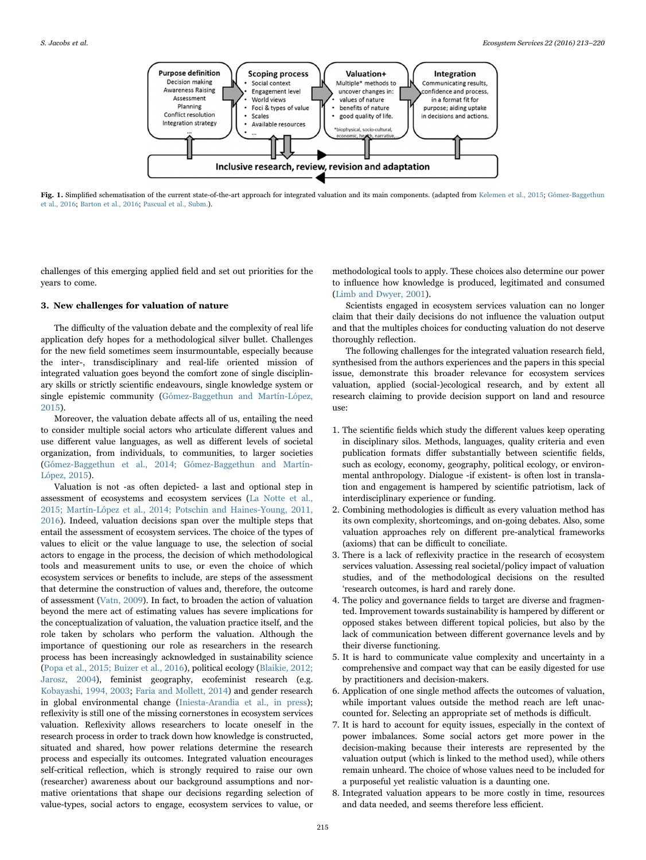<span id="page-2-0"></span>

Fig. 1. Simplified schematisation of the current state-of-the-art approach for integrated valuation and its main components. (adapted from [Kelemen et al., 2015](#page-6-8); [Gómez-Baggethun](#page-5-14) [et al., 2016;](#page-5-14) [Barton et al., 2016](#page-5-9); [Pascual et al., Subm.\)](#page-6-17).

challenges of this emerging applied field and set out priorities for the years to come.

#### 3. New challenges for valuation of nature

The difficulty of the valuation debate and the complexity of real life application defy hopes for a methodological silver bullet. Challenges for the new field sometimes seem insurmountable, especially because the inter-, transdisciplinary and real-life oriented mission of integrated valuation goes beyond the comfort zone of single disciplinary skills or strictly scientific endeavours, single knowledge system or single epistemic community ([Gómez-Baggethun and Martín-López,](#page-5-11) [2015\)](#page-5-11).

Moreover, the valuation debate affects all of us, entailing the need to consider multiple social actors who articulate different values and use different value languages, as well as different levels of societal organization, from individuals, to communities, to larger societies ([Gómez-Baggethun et al., 2014; Gómez-Baggethun and Martín-](#page-5-8)[López, 2015](#page-5-8)).

Valuation is not -as often depicted- a last and optional step in assessment of ecosystems and ecosystem services [\(La Notte et al.,](#page-6-12) [2015; Martín-López et al., 2014; Potschin and Haines-Young, 2011,](#page-6-12) [2016\)](#page-6-12). Indeed, valuation decisions span over the multiple steps that entail the assessment of ecosystem services. The choice of the types of values to elicit or the value language to use, the selection of social actors to engage in the process, the decision of which methodological tools and measurement units to use, or even the choice of which ecosystem services or benefits to include, are steps of the assessment that determine the construction of values and, therefore, the outcome of assessment [\(Vatn, 2009\)](#page-7-1). In fact, to broaden the action of valuation beyond the mere act of estimating values has severe implications for the conceptualization of valuation, the valuation practice itself, and the role taken by scholars who perform the valuation. Although the importance of questioning our role as researchers in the research process has been increasingly acknowledged in sustainability science ([Popa et al., 2015; Buizer et al., 2016\)](#page-6-13), political ecology ([Blaikie, 2012;](#page-5-12) [Jarosz, 2004\)](#page-5-12), feminist geography, ecofeminist research (e.g. [Kobayashi, 1994, 2003;](#page-6-14) [Faria and Mollett, 2014](#page-5-13)) and gender research in global environmental change [\(Iniesta-Arandia et al., in press](#page-6-15)); reflexivity is still one of the missing cornerstones in ecosystem services valuation. Reflexivity allows researchers to locate oneself in the research process in order to track down how knowledge is constructed, situated and shared, how power relations determine the research process and especially its outcomes. Integrated valuation encourages self-critical reflection, which is strongly required to raise our own (researcher) awareness about our background assumptions and normative orientations that shape our decisions regarding selection of value-types, social actors to engage, ecosystem services to value, or

methodological tools to apply. These choices also determine our power to influence how knowledge is produced, legitimated and consumed ([Limb and Dwyer, 2001](#page-6-16)).

Scientists engaged in ecosystem services valuation can no longer claim that their daily decisions do not influence the valuation output and that the multiples choices for conducting valuation do not deserve thoroughly reflection.

The following challenges for the integrated valuation research field, synthesised from the authors experiences and the papers in this special issue, demonstrate this broader relevance for ecosystem services valuation, applied (social-)ecological research, and by extent all research claiming to provide decision support on land and resource use:

- 1. The scientific fields which study the different values keep operating in disciplinary silos. Methods, languages, quality criteria and even publication formats differ substantially between scientific fields, such as ecology, economy, geography, political ecology, or environmental anthropology. Dialogue -if existent- is often lost in translation and engagement is hampered by scientific patriotism, lack of interdisciplinary experience or funding.
- 2. Combining methodologies is difficult as every valuation method has its own complexity, shortcomings, and on-going debates. Also, some valuation approaches rely on different pre-analytical frameworks (axioms) that can be difficult to conciliate.
- 3. There is a lack of reflexivity practice in the research of ecosystem services valuation. Assessing real societal/policy impact of valuation studies, and of the methodological decisions on the resulted 'research outcomes, is hard and rarely done.
- 4. The policy and governance fields to target are diverse and fragmented. Improvement towards sustainability is hampered by different or opposed stakes between different topical policies, but also by the lack of communication between different governance levels and by their diverse functioning.
- 5. It is hard to communicate value complexity and uncertainty in a comprehensive and compact way that can be easily digested for use by practitioners and decision-makers.
- 6. Application of one single method affects the outcomes of valuation, while important values outside the method reach are left unaccounted for. Selecting an appropriate set of methods is difficult.
- 7. It is hard to account for equity issues, especially in the context of power imbalances. Some social actors get more power in the decision-making because their interests are represented by the valuation output (which is linked to the method used), while others remain unheard. The choice of whose values need to be included for a purposeful yet realistic valuation is a daunting one.
- 8. Integrated valuation appears to be more costly in time, resources and data needed, and seems therefore less efficient.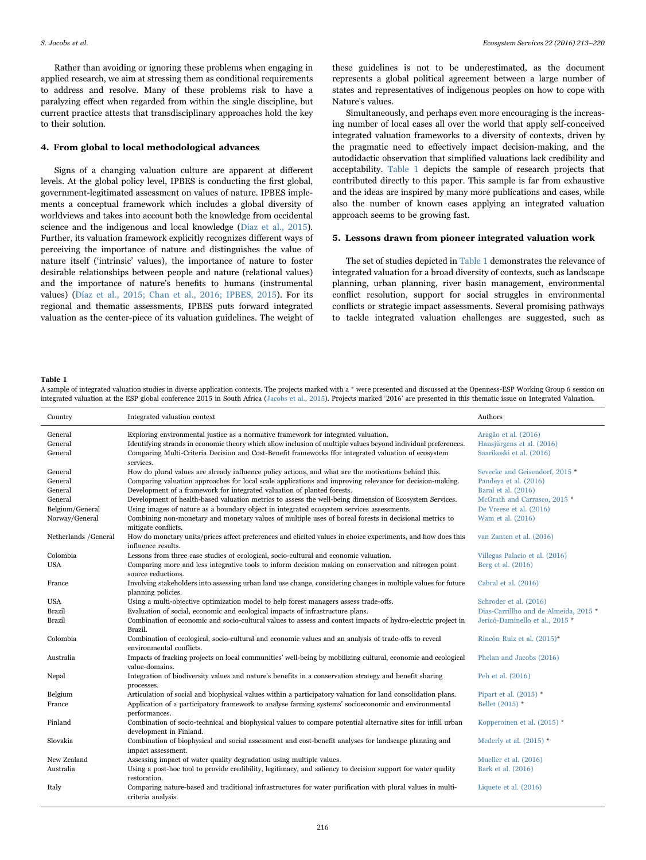S. Jacobs et al. *Ecosystem Services 22 (2016) 213–220*

Rather than avoiding or ignoring these problems when engaging in applied research, we aim at stressing them as conditional requirements to address and resolve. Many of these problems risk to have a paralyzing effect when regarded from within the single discipline, but current practice attests that transdisciplinary approaches hold the key to their solution.

#### 4. From global to local methodological advances

Signs of a changing valuation culture are apparent at different levels. At the global policy level, IPBES is conducting the first global, government-legitimated assessment on values of nature. IPBES implements a conceptual framework which includes a global diversity of worldviews and takes into account both the knowledge from occidental science and the indigenous and local knowledge ([Diaz et al., 2015\)](#page-5-5). Further, its valuation framework explicitly recognizes different ways of perceiving the importance of nature and distinguishes the value of nature itself ('intrinsic' values), the importance of nature to foster desirable relationships between people and nature (relational values) and the importance of nature's benefits to humans (instrumental values) [\(Díaz et al., 2015; Chan et al., 2016; IPBES, 2015](#page-5-5)). For its regional and thematic assessments, IPBES puts forward integrated valuation as the center-piece of its valuation guidelines. The weight of

these guidelines is not to be underestimated, as the document represents a global political agreement between a large number of states and representatives of indigenous peoples on how to cope with Nature's values.

Simultaneously, and perhaps even more encouraging is the increasing number of local cases all over the world that apply self-conceived integrated valuation frameworks to a diversity of contexts, driven by the pragmatic need to effectively impact decision-making, and the autodidactic observation that simplified valuations lack credibility and acceptability. [Table 1](#page-3-0) depicts the sample of research projects that contributed directly to this paper. This sample is far from exhaustive and the ideas are inspired by many more publications and cases, while also the number of known cases applying an integrated valuation approach seems to be growing fast.

#### 5. Lessons drawn from pioneer integrated valuation work

The set of studies depicted in [Table 1](#page-3-0) demonstrates the relevance of integrated valuation for a broad diversity of contexts, such as landscape planning, urban planning, river basin management, environmental conflict resolution, support for social struggles in environmental conflicts or strategic impact assessments. Several promising pathways to tackle integrated valuation challenges are suggested, such as

<span id="page-3-0"></span>Table 1

A sample of integrated valuation studies in diverse application contexts. The projects marked with a \* were presented and discussed at the Openness-ESP Working Group 6 session on integrated valuation at the ESP global conference 2015 in South Africa [\(Jacobs et al., 2015\)](#page-6-6). Projects marked '2016' are presented in this thematic issue on Integrated Valuation.

| Country                        | Integrated valuation context                                                                                                                                                                                                                                                                                 | Authors                                                                        |
|--------------------------------|--------------------------------------------------------------------------------------------------------------------------------------------------------------------------------------------------------------------------------------------------------------------------------------------------------------|--------------------------------------------------------------------------------|
| General<br>General<br>General  | Exploring environmental justice as a normative framework for integrated valuation.<br>Identifying strands in economic theory which allow inclusion of multiple values beyond individual preferences.<br>Comparing Multi-Criteria Decision and Cost-Benefit frameworks ffor integrated valuation of ecosystem | Aragão et al. (2016)<br>Hansjürgens et al. (2016)<br>Saarikoski et al. (2016)  |
| General<br>General<br>General  | services.<br>How do plural values are already influence policy actions, and what are the motivations behind this.<br>Comparing valuation approaches for local scale applications and improving relevance for decision-making.<br>Development of a framework for integrated valuation of planted forests.     | Sevecke and Geisendorf, 2015 *<br>Pandeya et al. (2016)<br>Baral et al. (2016) |
| General<br>Belgium/General     | Development of health-based valuation metrics to assess the well-being dimension of Ecosystem Services.<br>Using images of nature as a boundary object in integrated ecosystem services assessments.                                                                                                         | McGrath and Carrasco, 2015 *<br>De Vreese et al. (2016)                        |
| Norway/General                 | Combining non-monetary and monetary values of multiple uses of boreal forests in decisional metrics to<br>mitigate conflicts.                                                                                                                                                                                | Wam et al. (2016)                                                              |
| Netherlands /General           | How do monetary units/prices affect preferences and elicited values in choice experiments, and how does this<br>influence results.                                                                                                                                                                           | van Zanten et al. (2016)                                                       |
| Colombia                       | Lessons from three case studies of ecological, socio-cultural and economic valuation.                                                                                                                                                                                                                        | Villegas Palacio et al. (2016)                                                 |
| <b>USA</b>                     | Comparing more and less integrative tools to inform decision making on conservation and nitrogen point<br>source reductions.                                                                                                                                                                                 | Berg et al. (2016)                                                             |
| France                         | Involving stakeholders into assessing urban land use change, considering changes in multiple values for future<br>planning policies.                                                                                                                                                                         | Cabral et al. (2016)                                                           |
| <b>USA</b>                     | Using a multi-objective optimization model to help forest managers assess trade-offs.                                                                                                                                                                                                                        | Schroder et al. (2016)                                                         |
| <b>Brazil</b><br><b>Brazil</b> | Evaluation of social, economic and ecological impacts of infrastructure plans.<br>Combination of economic and socio-cultural values to assess and contest impacts of hydro-electric project in<br>Brazil.                                                                                                    | Dias-Carrillho and de Almeida, 2015 *<br>Jericó-Daminello et al., 2015 *       |
| Colombia                       | Combination of ecological, socio-cultural and economic values and an analysis of trade-offs to reveal<br>environmental conflicts.                                                                                                                                                                            | Rincón Ruiz et al. (2015)*                                                     |
| Australia                      | Impacts of fracking projects on local communities' well-being by mobilizing cultural, economic and ecological<br>value-domains.                                                                                                                                                                              | Phelan and Jacobs (2016)                                                       |
| Nepal                          | Integration of biodiversity values and nature's benefits in a conservation strategy and benefit sharing<br>processes.                                                                                                                                                                                        | Peh et al. (2016)                                                              |
| Belgium<br>France              | Articulation of social and biophysical values within a participatory valuation for land consolidation plans.<br>Application of a participatory framework to analyse farming systems' socioeconomic and environmental                                                                                         | Pipart et al. $(2015)$ *<br>Bellet (2015) *                                    |
| Finland                        | performances.<br>Combination of socio-technical and biophysical values to compare potential alternative sites for infill urban<br>development in Finland.                                                                                                                                                    | Kopperoinen et al. (2015) *                                                    |
| Slovakia                       | Combination of biophysical and social assessment and cost-benefit analyses for landscape planning and<br>impact assessment.                                                                                                                                                                                  | Mederly et al. $(2015)$ *                                                      |
| New Zealand<br>Australia       | Assessing impact of water quality degradation using multiple values.<br>Using a post-hoc tool to provide credibility, legitimacy, and saliency to decision support for water quality<br>restoration.                                                                                                         | Mueller et al. (2016)<br>Bark et al. (2016)                                    |
| Italy                          | Comparing nature-based and traditional infrastructures for water purification with plural values in multi-<br>criteria analysis.                                                                                                                                                                             | Liquete et al. (2016)                                                          |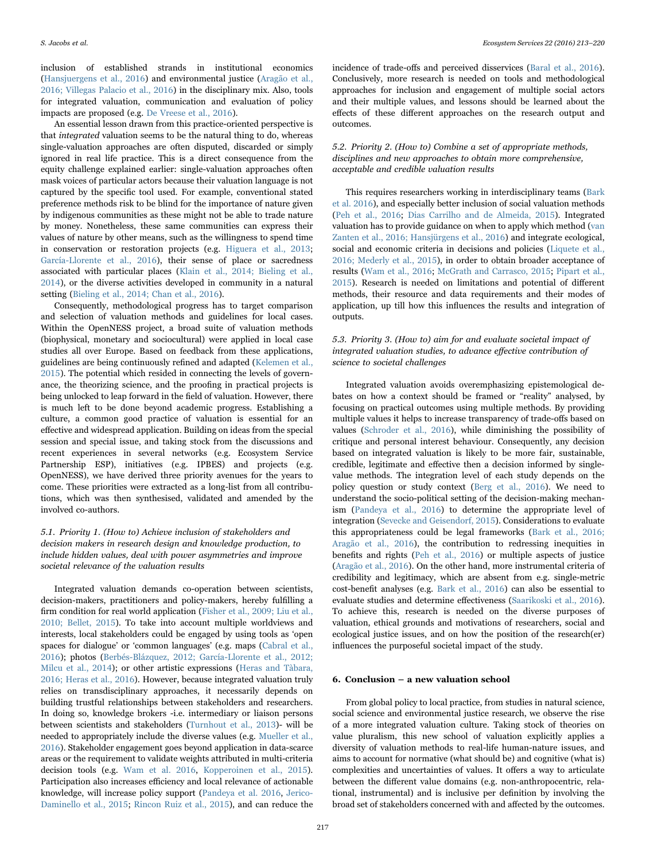S. Jacobs et al. *Ecosystem Services 22 (2016) 213–220*

inclusion of established strands in institutional economics ([Hansjuergens et al., 2016\)](#page-5-16) and environmental justice [\(Aragão et al.,](#page-5-15) [2016; Villegas Palacio et al., 2016\)](#page-5-15) in the disciplinary mix. Also, tools for integrated valuation, communication and evaluation of policy impacts are proposed (e.g. [De Vreese et al., 2016](#page-5-18)).

An essential lesson drawn from this practice-oriented perspective is that integrated valuation seems to be the natural thing to do, whereas single-valuation approaches are often disputed, discarded or simply ignored in real life practice. This is a direct consequence from the equity challenge explained earlier: single-valuation approaches often mask voices of particular actors because their valuation language is not captured by the specific tool used. For example, conventional stated preference methods risk to be blind for the importance of nature given by indigenous communities as these might not be able to trade nature by money. Nonetheless, these same communities can express their values of nature by other means, such as the willingness to spend time in conservation or restoration projects (e.g. [Higuera et al., 2013](#page-5-23); [García-Llorente et al., 2016\)](#page-5-24), their sense of place or sacredness associated with particular places [\(Klain et al., 2014; Bieling et al.,](#page-6-31) [2014\)](#page-6-31), or the diverse activities developed in community in a natural setting [\(Bieling et al., 2014; Chan et al., 2016\)](#page-5-25).

Consequently, methodological progress has to target comparison and selection of valuation methods and guidelines for local cases. Within the OpenNESS project, a broad suite of valuation methods (biophysical, monetary and sociocultural) were applied in local case studies all over Europe. Based on feedback from these applications, guidelines are being continuously refined and adapted ([Kelemen et al.,](#page-6-8) [2015\)](#page-6-8). The potential which resided in connecting the levels of governance, the theorizing science, and the proofing in practical projects is being unlocked to leap forward in the field of valuation. However, there is much left to be done beyond academic progress. Establishing a culture, a common good practice of valuation is essential for an effective and widespread application. Building on ideas from the special session and special issue, and taking stock from the discussions and recent experiences in several networks (e.g. Ecosystem Service Partnership ESP), initiatives (e.g. IPBES) and projects (e.g. OpenNESS), we have derived three priority avenues for the years to come. These priorities were extracted as a long-list from all contributions, which was then synthesised, validated and amended by the involved co-authors.

#### 5.1. Priority 1. (How to) Achieve inclusion of stakeholders and decision makers in research design and knowledge production, to include hidden values, deal with power asymmetries and improve societal relevance of the valuation results

Integrated valuation demands co-operation between scientists, decision-makers, practitioners and policy-makers, hereby fulfilling a firm condition for real world application [\(Fisher et al., 2009; Liu et al.,](#page-5-2) [2010; Bellet, 2015\)](#page-5-2). To take into account multiple worldviews and interests, local stakeholders could be engaged by using tools as 'open spaces for dialogue' or 'common languages' (e.g. maps [\(Cabral et al.,](#page-5-10) [2016\)](#page-5-10); photos [\(Berbés-Blázquez, 2012; García-Llorente et al., 2012;](#page-5-26) [Milcu et al., 2014](#page-5-26)); or other artistic expressions ([Heras and Tàbara,](#page-5-27) [2016; Heras et al., 2016\)](#page-5-27). However, because integrated valuation truly relies on transdisciplinary approaches, it necessarily depends on building trustful relationships between stakeholders and researchers. In doing so, knowledge brokers -i.e. intermediary or liaison persons between scientists and stakeholders ([Turnhout et al., 2013](#page-6-32))- will be needed to appropriately include the diverse values (e.g. [Mueller et al.,](#page-6-29) [2016\)](#page-6-29). Stakeholder engagement goes beyond application in data-scarce areas or the requirement to validate weights attributed in multi-criteria decision tools (e.g. [Wam et al. 2016,](#page-7-2) [Kopperoinen et al., 2015\)](#page-6-27). Participation also increases efficiency and local relevance of actionable knowledge, will increase policy support ([Pandeya et al. 2016,](#page-6-20) [Jerico-](#page-6-23)[Daminello et al., 2015](#page-6-23); [Rincon Ruiz et al., 2015](#page-6-24)), and can reduce the

incidence of trade-offs and perceived disservices ([Baral et al., 2016\)](#page-5-17). Conclusively, more research is needed on tools and methodological approaches for inclusion and engagement of multiple social actors and their multiple values, and lessons should be learned about the effects of these different approaches on the research output and outcomes.

### 5.2. Priority 2. (How to) Combine a set of appropriate methods, disciplines and new approaches to obtain more comprehensive, acceptable and credible valuation results

This requires researchers working in interdisciplinary teams ([Bark](#page-5-22) [et al. 2016\)](#page-5-22), and especially better inclusion of social valuation methods ([Peh et al., 2016;](#page-6-25) [Dias Carrilho and de Almeida, 2015\)](#page-5-20). Integrated valuation has to provide guidance on when to apply which method ([van](#page-5-16) [Zanten et al., 2016; Hansjürgens et al., 2016\)](#page-5-16) and integrate ecological, social and economic criteria in decisions and policies [\(Liquete et al.,](#page-6-30) [2016;](#page-6-30) [Mederly et al., 2015\)](#page-6-28), in order to obtain broader acceptance of results ([Wam et al., 2016](#page-7-2); [McGrath and Carrasco, 2015;](#page-6-21) [Pipart et al.,](#page-6-26) [2015\)](#page-6-26). Research is needed on limitations and potential of different methods, their resource and data requirements and their modes of application, up till how this influences the results and integration of outputs.

### 5.3. Priority 3. (How to) aim for and evaluate societal impact of integrated valuation studies, to advance effective contribution of science to societal challenges

Integrated valuation avoids overemphasizing epistemological debates on how a context should be framed or "reality" analysed, by focusing on practical outcomes using multiple methods. By providing multiple values it helps to increase transparency of trade-offs based on values ([Schroder et al., 2016\)](#page-6-22), while diminishing the possibility of critique and personal interest behaviour. Consequently, any decision based on integrated valuation is likely to be more fair, sustainable, credible, legitimate and effective then a decision informed by singlevalue methods. The integration level of each study depends on the policy question or study context [\(Berg et al., 2016\)](#page-5-19). We need to understand the socio-political setting of the decision-making mechanism (Pandeya [et al., 2016\)](#page-6-20) to determine the appropriate level of integration ([Sevecke and Geisendorf, 2015\)](#page-6-19). Considerations to evaluate this appropriateness could be legal frameworks ([Bark et al., 2016;](#page-5-15) [Aragão et al., 2016\)](#page-5-15), the contribution to redressing inequities in benefits and rights ([Peh et al., 2016\)](#page-6-25) or multiple aspects of justice ([Aragão et al., 2016\)](#page-5-15). On the other hand, more instrumental criteria of credibility and legitimacy, which are absent from e.g. single-metric cost-benefit analyses (e.g. [Bark et al., 2016](#page-5-22)) can also be essential to evaluate studies and determine effectiveness [\(Saarikoski et al., 2016\)](#page-6-18). To achieve this, research is needed on the diverse purposes of valuation, ethical grounds and motivations of researchers, social and ecological justice issues, and on how the position of the research(er) influences the purposeful societal impact of the study.

#### 6. Conclusion – a new valuation school

From global policy to local practice, from studies in natural science, social science and environmental justice research, we observe the rise of a more integrated valuation culture. Taking stock of theories on value pluralism, this new school of valuation explicitly applies a diversity of valuation methods to real-life human-nature issues, and aims to account for normative (what should be) and cognitive (what is) complexities and uncertainties of values. It offers a way to articulate between the different value domains (e.g. non-anthropocentric, relational, instrumental) and is inclusive per definition by involving the broad set of stakeholders concerned with and affected by the outcomes.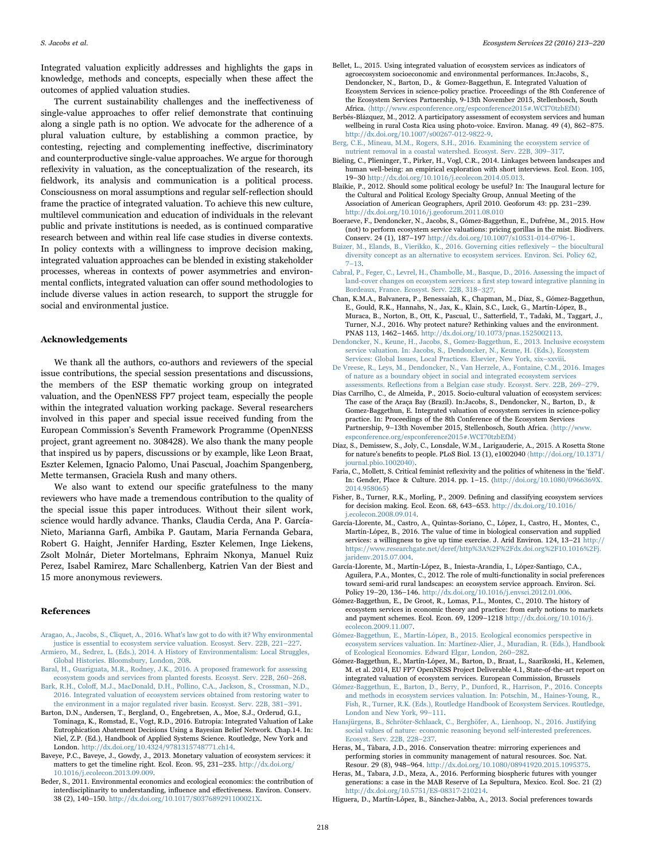Integrated valuation explicitly addresses and highlights the gaps in knowledge, methods and concepts, especially when these affect the outcomes of applied valuation studies.

The current sustainability challenges and the ineffectiveness of single-value approaches to offer relief demonstrate that continuing along a single path is no option. We advocate for the adherence of a plural valuation culture, by establishing a common practice, by contesting, rejecting and complementing ineffective, discriminatory and counterproductive single-value approaches. We argue for thorough reflexivity in valuation, as the conceptualization of the research, its fieldwork, its analysis and communication is a political process. Consciousness on moral assumptions and regular self-reflection should frame the practice of integrated valuation. To achieve this new culture, multilevel communication and education of individuals in the relevant public and private institutions is needed, as is continued comparative research between and within real life case studies in diverse contexts. In policy contexts with a willingness to improve decision making, integrated valuation approaches can be blended in existing stakeholder processes, whereas in contexts of power asymmetries and environmental conflicts, integrated valuation can offer sound methodologies to include diverse values in action research, to support the struggle for social and environmental justice.

#### Acknowledgements

We thank all the authors, co-authors and reviewers of the special issue contributions, the special session presentations and discussions, the members of the ESP thematic working group on integrated valuation, and the OpenNESS FP7 project team, especially the people within the integrated valuation working package. Several researchers involved in this paper and special issue received funding from the European Commission's Seventh Framework Programme (OpenNESS project, grant agreement no. 308428). We also thank the many people that inspired us by papers, discussions or by example, like Leon Braat, Eszter Kelemen, Ignacio Palomo, Unai Pascual, Joachim Spangenberg, Mette termansen, Graciela Rush and many others.

We also want to extend our specific gratefulness to the many reviewers who have made a tremendous contribution to the quality of the special issue this paper introduces. Without their silent work, science would hardly advance. Thanks, Claudia Cerda, Ana P. García-Nieto, Marianna Garfì, Ambika P. Gautam, Maria Fernanda Gebara, Robert G. Haight, Jennifer Harding, Eszter Kelemen, Inge Liekens, Zsolt Molnár, Dieter Mortelmans, Ephraim Nkonya, Manuel Ruiz Perez, Isabel Ramirez, Marc Schallenberg, Katrien Van der Biest and 15 more anonymous reviewers.

#### References

- <span id="page-5-15"></span>[Aragao, A., Jacobs, S., Cliquet, A., 2016. What's law got to do with it? Why environmental](http://refhub.elsevier.com/S2212-0416(16)30479-X/sbref1) [justice is essential to ecosystem service valuation. Ecosyst. Serv. 22B, 221](http://refhub.elsevier.com/S2212-0416(16)30479-X/sbref1)–227. [Armiero, M., Sedrez, L. \(Eds.\), 2014. A History of Environmentalism: Local Struggles,](http://refhub.elsevier.com/S2212-0416(16)30479-X/sbref2)
- <span id="page-5-17"></span><span id="page-5-0"></span>[Global Histories. Bloomsbury, London, 208](http://refhub.elsevier.com/S2212-0416(16)30479-X/sbref2). [Baral, H., Guariguata, M.R., Rodney, J.K., 2016. A proposed framework for assessing](http://refhub.elsevier.com/S2212-0416(16)30479-X/sbref3)
- <span id="page-5-22"></span>[ecosystem goods and services from planted forests. Ecosyst. Serv. 22B, 260](http://refhub.elsevier.com/S2212-0416(16)30479-X/sbref3)–268. Bark, R.H., Coloff[, M.J., MacDonald, D.H., Pollino, C.A., Jackson, S., Crossman, N.D.,](http://refhub.elsevier.com/S2212-0416(16)30479-X/sbref4) [2016. Integrated valuation of ecosystem services obtained from restoring water to](http://refhub.elsevier.com/S2212-0416(16)30479-X/sbref4)
- <span id="page-5-9"></span>[the environment in a major regulated river basin. Ecosyst. Serv. 22B, 381](http://refhub.elsevier.com/S2212-0416(16)30479-X/sbref4)–391. Barton, D.N., Andersen, T., Bergland, O., Engebretsen, A., Moe, S.J., Orderud, G.I., Tominaga, K., Romstad, E., Vogt, R.D., 2016. Eutropia: Integrated Valuation of Lake Eutrophication Abatement Decisions Using a Bayesian Belief Network. Chap.14. In: Niel, Z.P. (Ed.), Handbook of Applied Systems Science. Routledge, New York and London. <http://dx.doi.org/10.4324/9781315748771.ch14>.
- <span id="page-5-6"></span>Baveye, P.C., Baveye, J., Gowdy, J., 2013. Monetary valuation of ecosystem services: it matters to get the timeline right. Ecol. Econ. 95, 231–235. [http://dx.doi.org/](http://dx.doi.org/10.1016/j.ecolecon.2013.09.009) [10.1016/j.ecolecon.2013.09.009](http://dx.doi.org/10.1016/j.ecolecon.2013.09.009).
- <span id="page-5-7"></span>Beder, S., 2011. Environmental economics and ecological economics: the contribution of interdisciplinarity to understanding, influence and effectiveness. Environ. Conserv. 38 (2), 140–150. <http://dx.doi.org/10.1017/S037689291100021X>.
- <span id="page-5-21"></span>Bellet, L., 2015. Using integrated valuation of ecosystem services as indicators of agroecosystem socioeconomic and environmental performances. In:Jacobs, S., Dendoncker, N., Barton, D., & Gomez-Baggethun, E. Integrated Valuation of Ecosystem Services in science-policy practice. Proceedings of the 8th Conference of the Ecosystem Services Partnership, 9-13th November 2015, Stellenbosch, South Africa. 〈<http://www.espconference.org/espconference2015#.WCI70tzbEfM>〉
- <span id="page-5-26"></span>Berbés-Blázquez, M., 2012. A participatory assessment of ecosystem services and human wellbeing in rural Costa Rica using photo-voice. Environ. Manag. 49 (4), 862–875. [http://dx.doi.org/10.1007/s00267-012-9822-9.](http://dx.doi.org/10.1007/s00267-012-9822-9)
- <span id="page-5-19"></span>[Berg, C.E., Mineau, M.M., Rogers, S.H., 2016. Examining the ecosystem service of](http://refhub.elsevier.com/S2212-0416(16)30479-X/sbref9) [nutrient removal in a coastal watershed. Ecosyst. Serv. 22B, 309](http://refhub.elsevier.com/S2212-0416(16)30479-X/sbref9)–317.
- <span id="page-5-25"></span>Bieling, C., Plieninger, T., Pirker, H., Vogl, C.R., 2014. Linkages between landscapes and human well-being: an empirical exploration with short interviews. Ecol. Econ. 105, 19–30 <http://dx.doi.org/10.1016/j.ecolecon.2014.05.013>.
- <span id="page-5-12"></span>Blaikie, P., 2012. Should some political ecology be useful? In: The Inaugural lecture for the Cultural and Political Ecology Specialty Group, Annual Meeting of the Association of American Geographers, April 2010. Geoforum 43: pp. 231–239. <http://dx.doi.org/10.1016/j.geoforum.2011.08.010>
- <span id="page-5-3"></span>Boeraeve, F., Dendoncker, N., Jacobs, S., Gómez-Baggethun, E., Dufrêne, M., 2015. How (not) to perform ecosystem service valuations: pricing gorillas in the mist. Biodivers. Conserv. 24 (1), 187–197 [http://dx.doi.org/10.1007/s10531-014-0796-1.](http://dx.doi.org/10.1007/s10531-014-0796-1)
- [Buizer, M., Elands, B., Vierikko, K., 2016. Governing cities re](http://refhub.elsevier.com/S2212-0416(16)30479-X/sbref12)flexively the biocultural [diversity concept as an alternative to ecosystem services. Environ. Sci. Policy 62,](http://refhub.elsevier.com/S2212-0416(16)30479-X/sbref12) 7–[13](http://refhub.elsevier.com/S2212-0416(16)30479-X/sbref12).
- <span id="page-5-10"></span>[Cabral, P., Feger, C., Levrel, H., Chambolle, M., Basque, D., 2016. Assessing the impact of](http://refhub.elsevier.com/S2212-0416(16)30479-X/sbref13) [land-cover changes on ecosystem services: a](http://refhub.elsevier.com/S2212-0416(16)30479-X/sbref13) first step toward integrative planning in [Bordeaux, France. Ecosyst. Serv. 22B, 318](http://refhub.elsevier.com/S2212-0416(16)30479-X/sbref13)–327.
- Chan, K.M.A., Balvanera, P., Benessaiah, K., Chapman, M., Díaz, S., Gómez-Baggethun, E., Gould, R.K., Hannahs, N., Jax, K., Klain, S.C., Luck, G., Martín-López, B., Muraca, B., Norton, B., Ott, K., Pascual, U., Satterfield, T., Tadaki, M., Taggart, J., Turner, N.J., 2016. Why protect nature? Rethinking values and the environment. PNAS 113, 1462–1465. <http://dx.doi.org/10.1073/pnas.1525002113>.
- <span id="page-5-4"></span>[Dendoncker, N., Keune, H., Jacobs, S., Gomez-Baggethun, E., 2013. Inclusive ecosystem](http://refhub.elsevier.com/S2212-0416(16)30479-X/sbref15) [service valuation. In: Jacobs, S., Dendoncker, N., Keune, H. \(Eds.\), Ecosystem](http://refhub.elsevier.com/S2212-0416(16)30479-X/sbref15) [Services: Global Issues, Local Practices. Elsevier, New York, xix](http://refhub.elsevier.com/S2212-0416(16)30479-X/sbref15)–xxviii.
- <span id="page-5-18"></span>[De Vreese, R., Leys, M., Dendoncker, N., Van Herzele, A., Fontaine, C.M., 2016. Images](http://refhub.elsevier.com/S2212-0416(16)30479-X/sbref16) [of nature as a boundary object in social and integrated ecosystem services](http://refhub.elsevier.com/S2212-0416(16)30479-X/sbref16) assessments. Refl[ections from a Belgian case study. Ecosyst. Serv. 22B, 269](http://refhub.elsevier.com/S2212-0416(16)30479-X/sbref16)–279.
- <span id="page-5-20"></span>Dias Carrilho, C., de Almeida, P., 2015. Socio-cultural valuation of ecosystem services: The case of the Araça Bay (Brazil). In:Jacobs, S., Dendoncker, N., Barton, D., & Gomez-Baggethun, E. Integrated valuation of ecosystem services in science-policy practice. In: Proceedings of the 8th Conference of the Ecosystem Services Partnership, 9–13th November 2015, Stellenbosch, South Africa. 〈[http://www.](http://www.espconference.org/espconference2015#.WCI70tzbEfM) [espconference.org/espconference2015#.WCI70tzbEfM](http://www.espconference.org/espconference2015#.WCI70tzbEfM)〉
- <span id="page-5-5"></span>Díaz, S., Demissew, S., Joly, C., Lonsdale, W.M., Larigauderie, A., 2015. A Rosetta Stone for nature's benefits to people. PLoS Biol. 13 (1), e1002040 〈[http://doi.org/10.1371/](http://doi.org/10.1371/journal.pbio.1002040) [journal.pbio.1002040](http://doi.org/10.1371/journal.pbio.1002040))
- <span id="page-5-13"></span>Faria, C., Mollett, S. Critical feminist reflexivity and the politics of whiteness in the 'field'. In: Gender, Place & Culture. 2014. pp. 1–15. 〈[http://doi.org/10.1080/0966369X.](http://doi.org/10.1080/0966369X.2014.958065) [2014.958065](http://doi.org/10.1080/0966369X.2014.958065)〉
- <span id="page-5-2"></span>Fisher, B., Turner, R.K., Morling, P., 2009. Defining and classifying ecosystem services for decision making. Ecol. Econ. 68, 643–653. [http://dx.doi.org/10.1016/](http://dx.doi.org/10.1016/j.ecolecon.2008.09.014) [j.ecolecon.2008.09.014](http://dx.doi.org/10.1016/j.ecolecon.2008.09.014).
- <span id="page-5-24"></span>García-Llorente, M., Castro, A., Quintas-Soriano, C., López, I., Castro, H., Montes, C., Martín-López, B., 2016. The value of time in biological conservation and supplied services: a willingness to give up time exercise. J. Arid Environ. 124, 13–21 [http://](http://https://www.researchgate.net/deref/http%3A%2F%2Fdx.doi.org%2F10.1016%2Fj.jaridenv.2015.07.004) [https://www.researchgate.net/deref/http%3A%2F%2Fdx.doi.org%2F10.1016%2Fj.](http://https://www.researchgate.net/deref/http%3A%2F%2Fdx.doi.org%2F10.1016%2Fj.jaridenv.2015.07.004) [jaridenv.2015.07.004](http://https://www.researchgate.net/deref/http%3A%2F%2Fdx.doi.org%2F10.1016%2Fj.jaridenv.2015.07.004).
- García-Llorente, M., Martín-López, B., Iniesta-Arandia, I., López-Santiago, C.A., Aguilera, P.A., Montes, C., 2012. The role of multi-functionality in social preferences toward semi-arid rural landscapes: an ecosystem service approach. Environ. Sci. Policy 19–20, 136–146. [http://dx.doi.org/10.1016/j.envsci.2012.01.006.](http://dx.doi.org/10.1016/j.envsci.2012.01.006)
- <span id="page-5-1"></span>Gómez-Baggethun, E., De Groot, R., Lomas, P.L., Montes, C., 2010. The history of ecosystem services in economic theory and practice: from early notions to markets and payment schemes. Ecol. Econ. 69, 1209–1218 [http://dx.doi.org/10.1016/j.](http://dx.doi.org/10.1016/j.ecolecon.2009.11.007) [ecolecon.2009.11.007](http://dx.doi.org/10.1016/j.ecolecon.2009.11.007).
- <span id="page-5-11"></span>[Gómez-Baggethun, E., Martín-López, B., 2015. Ecological economics perspective in](http://refhub.elsevier.com/S2212-0416(16)30479-X/sbref22) [ecosystem services valuation. In: Martínez-Alier, J., Muradian, R. \(Eds.\), Handbook](http://refhub.elsevier.com/S2212-0416(16)30479-X/sbref22) [of Ecological Economics. Edward Elgar, London, 260](http://refhub.elsevier.com/S2212-0416(16)30479-X/sbref22)–282.
- <span id="page-5-8"></span>Gómez-Baggethun, E., Martín-López, M., Barton, D., Braat, L., Saarikoski, H., Kelemen, M. et al. 2014, EU FP7 OpenNESS Project Deliverable 4.1, State-of-the-art report on integrated valuation of ecosystem services. European Commission, Brussels
- <span id="page-5-14"></span>[Gómez-Baggethun, E., Barton, D., Berry, P., Dunford, R., Harrison, P., 2016. Concepts](http://refhub.elsevier.com/S2212-0416(16)30479-X/sbref23) [and methods in ecosystem services valuation. In: Potschin, M., Haines-Young, R.,](http://refhub.elsevier.com/S2212-0416(16)30479-X/sbref23) [Fish, R., Turner, R.K. \(Eds.\), Routledge Handbook of Ecosystem Services. Routledge,](http://refhub.elsevier.com/S2212-0416(16)30479-X/sbref23) [London and New York, 99](http://refhub.elsevier.com/S2212-0416(16)30479-X/sbref23)–111.
- <span id="page-5-16"></span>[Hansjürgens, B., Schröter-Schlaack, C., Berghöfer, A., Lienhoop, N., 2016. Justifying](http://refhub.elsevier.com/S2212-0416(16)30479-X/sbref24) [social values of nature: economic reasoning beyond self-interested preferences.](http://refhub.elsevier.com/S2212-0416(16)30479-X/sbref24) [Ecosyst. Serv. 22B, 228](http://refhub.elsevier.com/S2212-0416(16)30479-X/sbref24)–237.
- <span id="page-5-27"></span>Heras, M., Tàbara, J.D., 2016. Conservation theatre: mirroring experiences and performing stories in community management of natural resources. Soc. Nat. Resour. 29 (8), 948–964. [http://dx.doi.org/10.1080/08941920.2015.1095375.](http://dx.doi.org/10.1080/08941920.2015.1095375)
- Heras, M., Tabara, J.D., Meza, A., 2016. Performing biospheric futures with younger generations: a case in the MAB Reserve of La Sepultura, Mexico. Ecol. Soc. 21 (2) <http://dx.doi.org/10.5751/ES-08317-210214>.
- <span id="page-5-23"></span>Higuera, D., Martín-López, B., Sánchez-Jabba, A., 2013. Social preferences towards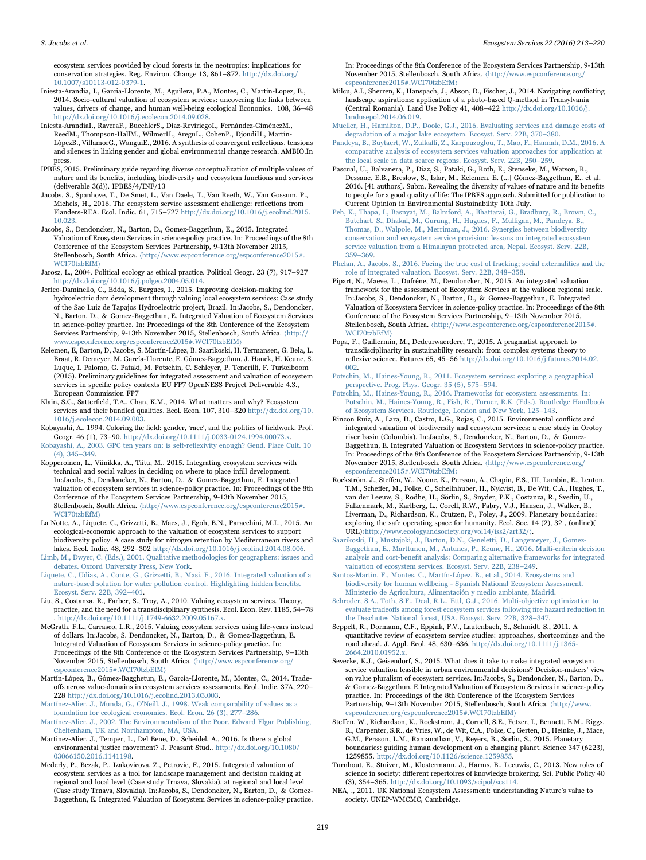ecosystem services provided by cloud forests in the neotropics: implications for conservation strategies. Reg. Environ. Change 13, 861–872. [http://dx.doi.org/](http://dx.doi.org/10.1007/s10113-012-0379-1) [10.1007/s10113-012-0379-1](http://dx.doi.org/10.1007/s10113-012-0379-1).

- <span id="page-6-1"></span>Iniesta-Arandia, I., Garcia-Llorente, M., Aguilera, P.A., Montes, C., Martin-Lopez, B., 2014. Socio-cultural valuation of ecosystem services: uncovering the links between values, drivers of change, and human well-being ecological Econonics. 108, 36–48 [http://dx.doi.org/10.1016/j.ecolecon.2014.09.028.](http://dx.doi.org/10.1016/j.ecolecon.2014.09.028)
- <span id="page-6-15"></span>Iniesta-ArandiaI., RaveraF., BuechlerS., Díaz-ReviriegoI., Fernández-GiménezM., ReedM., Thompson-HallM., WilmerH., AreguL., CohenP., DjoudiH., Martín-LópezB., VillamorG., WanguiE., 2016. A synthesis of convergent reflections, tensions and silences in linking gender and global environmental change research. AMBIO.In press.
- <span id="page-6-11"></span>IPBES, 2015. Preliminary guide regarding diverse conceptualization of multiple values of nature and its benefits, including biodiversity and ecosystem functions and services (deliverable 3(d)). IPBES/4/INF/13
- <span id="page-6-7"></span>Jacobs, S., Spanhove, T., De Smet, L., Van Daele, T., Van Reeth, W., Van Gossum, P., Michels, H., 2016. The ecosystem service assessment challenge: reflections from Flanders-REA. Ecol. Indic. 61, 715–727 [http://dx.doi.org/10.1016/j.ecolind.2015.](http://dx.doi.org/10.1016/j.ecolind.2015.10.023) [10.023](http://dx.doi.org/10.1016/j.ecolind.2015.10.023).
- <span id="page-6-6"></span>Jacobs, S., Dendoncker, N., Barton, D., Gomez-Baggethun, E., 2015. Integrated Valuation of Ecosystem Services in science-policy practice. In: Proceedings of the 8th Conference of the Ecosystem Services Partnership, 9-13th November 2015, Stellenbosch, South Africa. (http://www.espconference.org/espconference2015# [WCI70tzbEfM](http://www.espconference.org/espconference2015#.WCI70tzbEfM)〉
- Jarosz, L., 2004. Political ecology as ethical practice. Political Geogr. 23 (7), 917–927 [http://dx.doi.org/10.1016/j.polgeo.2004.05.014.](http://dx.doi.org/10.1016/j.polgeo.2004.05.014)
- <span id="page-6-23"></span>Jerico-Daminello, C., Edda, S., Burgues, I., 2015. Improving decision-making for hydroelectric dam development through valuing local ecosystem services: Case study of the Sao Luiz de Tapajos Hydroelectric project, Brazil. In:Jacobs, S., Dendoncker, N., Barton, D., & Gomez-Baggethun, E. Integrated Valuation of Ecosystem Services in science-policy practice. In: Proceedings of the 8th Conference of the Ecosystem Services Partnership, 9-13th November 2015, Stellenbosch, South Africa. 〈[http://](http://www.espconference.org/espconference2015#.WCI70tzbEfM) [www.espconference.org/espconference2015#.WCI70tzbEfM](http://www.espconference.org/espconference2015#.WCI70tzbEfM)〉
- <span id="page-6-8"></span>Kelemen, E, Barton, D, Jacobs, S. Martín-López, B. Saarikoski, H. Termansen, G. Bela, L. Braat, R. Demeyer, M. García-Llorente, E. Gómez-Baggethun, J. Hauck, H. Keune, S. Luque, I. Palomo, G. Pataki, M. Potschin, C. Schleyer, P. Tenerilli, F. Turkelboom (2015). Preliminary guidelines for integrated assessment and valuation of ecosystem services in specific policy contexts EU FP7 OpenNESS Project Deliverable 4.3., European Commission FP7
- <span id="page-6-31"></span>Klain, S.C., Satterfield, T.A., Chan, K.M., 2014. What matters and why? Ecosystem services and their bundled qualities. Ecol. Econ. 107, 310–320 [http://dx.doi.org/10.](http://dx.doi.org/10.1016/j.ecolecon.2014.09.003) [1016/j.ecolecon.2014.09.003](http://dx.doi.org/10.1016/j.ecolecon.2014.09.003).
- <span id="page-6-14"></span>Kobayashi, A., 1994. Coloring the field: gender, 'race', and the politics of fieldwork. Prof. Geogr. 46 (1), 73–90. <http://dx.doi.org/10.1111/j.0033-0124.1994.00073.x>.
- [Kobayashi, A., 2003. GPC ten years on: is self-re](http://refhub.elsevier.com/S2212-0416(16)30479-X/sbref33)flexivity enough? Gend. Place Cult. 10 [\(4\), 345](http://refhub.elsevier.com/S2212-0416(16)30479-X/sbref33)–349.
- <span id="page-6-27"></span>Kopperoinen, L., Viinikka, A., Tiitu, M., 2015. Integrating ecosystem services with technical and social values in deciding on where to place infill development. In:Jacobs, S., Dendoncker, N., Barton, D., & Gomez-Baggethun, E. Integrated valuation of ecosystem services in science-policy practice. In: Proceedings of the 8th Conference of the Ecosystem Services Partnership, 9-13th November 2015, Stellenbosch, South Africa. <br>  $\langle$ http://www.espconference.org/espconference2015# [WCI70tzbEfM](http://www.espconference.org/espconference2015#.WCI70tzbEfM)〉
- <span id="page-6-12"></span>La Notte, A., Liquete, C., Grizzetti, B., Maes, J., Egoh, B.N., Paracchini, M.L., 2015. An ecological-economic approach to the valuation of ecosystem services to support biodiversity policy. A case study for nitrogen retention by Mediterranean rivers and lakes. Ecol. Indic. 48, 292–302 <http://dx.doi.org/10.1016/j.ecolind.2014.08.006>.
- <span id="page-6-16"></span>[Limb, M., Dwyer, C. \(Eds.\), 2001. Qualitative methodologies for geographers: issues and](http://refhub.elsevier.com/S2212-0416(16)30479-X/sbref35) [debates. Oxford University Press, New York](http://refhub.elsevier.com/S2212-0416(16)30479-X/sbref35).
- <span id="page-6-30"></span>[Liquete, C., Udias, A., Conte, G., Grizzetti, B., Masi, F., 2016. Integrated valuation of a](http://refhub.elsevier.com/S2212-0416(16)30479-X/sbref36) [nature-based solution for water pollution control. Highlighting hidden bene](http://refhub.elsevier.com/S2212-0416(16)30479-X/sbref36)fits. [Ecosyst. Serv. 22B, 392](http://refhub.elsevier.com/S2212-0416(16)30479-X/sbref36)–401.
- Liu, S., Costanza, R., Farber, S., Troy, A., 2010. Valuing ecosystem services. Theory, practice, and the need for a transdisciplinary synthesis. Ecol. Econ. Rev. 1185, 54–78 . <http://dx.doi.org/10.1111/j.1749-6632.2009.05167.x>.
- <span id="page-6-21"></span>McGrath, F.L., Carrasco, L.R., 2015. Valuing ecosystem services using life-years instead of dollars. In:Jacobs, S. Dendoncker, N., Barton, D., & Gomez-Baggethun, E. Integrated Valuation of Ecosystem Services in science-policy practice. In: Proceedings of the 8th Conference of the Ecosystem Services Partnership, 9–13th November 2015, Stellenbosch, South Africa. 〈[http://www.espconference.org/](http://www.espconference.org/espconference2015#.WCI70tzbEfM) [espconference2015#.WCI70tzbEfM](http://www.espconference.org/espconference2015#.WCI70tzbEfM)〉
- <span id="page-6-9"></span>Martín-López, B., Gómez-Bagghetun, E., García-Llorente, M., Montes, C., 2014. Tradeoffs across value-domains in ecosystem services assessments. Ecol. Indic. 37A, 220– 228 [http://dx.doi.org/10.1016/j.ecolind.2013.03.003.](http://dx.doi.org/10.1016/j.ecolind.2013.03.003)
- <span id="page-6-10"></span>Martínez-Alier, J., Munda, G., O'[Neill, J., 1998. Weak comparability of values as a](http://refhub.elsevier.com/S2212-0416(16)30479-X/sbref39) [foundation for ecological economics. Ecol. Econ. 26 \(3\), 277](http://refhub.elsevier.com/S2212-0416(16)30479-X/sbref39)–286.
- <span id="page-6-3"></span>[Martínez-Alier, J., 2002. The Environmentalism of the Poor. Edward Elgar Publishing,](http://refhub.elsevier.com/S2212-0416(16)30479-X/sbref40) [Cheltenham, UK and Northampton, MA, USA](http://refhub.elsevier.com/S2212-0416(16)30479-X/sbref40).
- Martinez-Alier, J., Temper, L., Del Bene, D., Scheidel, A., 2016. Is there a global environmental justice movement? J. Peasant Stud.. [http://dx.doi.org/10.1080/](http://dx.doi.org/10.1080/03066150.2016.1141198) [03066150.2016.1141198](http://dx.doi.org/10.1080/03066150.2016.1141198).
- <span id="page-6-28"></span>Mederly, P., Bezak, P., Izakovicova, Z., Petrovic, F., 2015. Integrated valuation of ecosystem services as a tool for landscape management and decision making at regional and local level (Case study Trnava, Slovakia). at regional and local level (Case study Trnava, Slovakia). In:Jacobs, S., Dendoncker, N., Barton, D., & Gomez-Baggethun, E. Integrated Valuation of Ecosystem Services in science-policy practice.

In: Proceedings of the 8th Conference of the Ecosystem Services Partnership, 9-13th November 2015, Stellenbosch, South Africa. 〈[http://www.espconference.org/](http://www.espconference.org/espconference2015#.WCI70tzbEfM) [espconference2015#.WCI70tzbEfM](http://www.espconference.org/espconference2015#.WCI70tzbEfM)〉

Milcu, A.I., Sherren, K., Hanspach, J., Abson, D., Fischer, J., 2014. Navigating conflicting landscape aspirations: application of a photo-based Q-method in Transylvania (Central Romania). Land Use Policy 41, 408–422 [http://dx.doi.org/10.1016/j.](http://dx.doi.org/10.1016/j.landusepol.2014.06.019) [landusepol.2014.06.019.](http://dx.doi.org/10.1016/j.landusepol.2014.06.019)

<span id="page-6-29"></span>[Mueller, H., Hamilton, D.P., Doole, G.J., 2016. Evaluating services and damage costs of](http://refhub.elsevier.com/S2212-0416(16)30479-X/sbref43) [degradation of a major lake ecosystem. Ecosyst. Serv. 22B, 370](http://refhub.elsevier.com/S2212-0416(16)30479-X/sbref43)–380.

- <span id="page-6-20"></span>Pandeya, B., Buytaert, W., Zulkafl[i, Z., Karpouzoglou, T., Mao, F., Hannah, D.M., 2016. A](http://refhub.elsevier.com/S2212-0416(16)30479-X/sbref44) [comparative analysis of ecosystem services valuation approaches for application at](http://refhub.elsevier.com/S2212-0416(16)30479-X/sbref44) [the local scale in data scarce regions. Ecosyst. Serv. 22B, 250](http://refhub.elsevier.com/S2212-0416(16)30479-X/sbref44)–259.
- <span id="page-6-17"></span>Pascual, U., Balvanera, P., Diaz, S., Pataki, G., Roth, E., Stenseke, M., Watson, R., Dessane, E.B., Breslow, S., Islar, M., Kelemen, E. (…] Gómez-Baggethun, E.. et al. 2016. [41 authors]. Subm. Revealing the diversity of values of nature and its benefits to people for a good quality of life: The IPBES approach. Submitted for publication to Current Opinion in Environmental Sustainability 10th July.
- <span id="page-6-25"></span>[Peh, K., Thapa, I., Basnyat, M., Balmford, A., Bhattarai, G., Bradbury, R., Brown, C.,](http://refhub.elsevier.com/S2212-0416(16)30479-X/sbref45) [Butchart, S., Dhakal, M., Gurung, H., Hugues, F., Mulligan, M., Pandeya, B.,](http://refhub.elsevier.com/S2212-0416(16)30479-X/sbref45) [Thomas, D., Walpole, M., Merriman, J., 2016. Synergies between biodiversity](http://refhub.elsevier.com/S2212-0416(16)30479-X/sbref45) [conservation and ecosystem service provision: lessons on integrated ecosystem](http://refhub.elsevier.com/S2212-0416(16)30479-X/sbref45) [service valuation from a Himalayan protected area, Nepal. Ecosyst. Serv. 22B,](http://refhub.elsevier.com/S2212-0416(16)30479-X/sbref45) 359–[369](http://refhub.elsevier.com/S2212-0416(16)30479-X/sbref45).
- <span id="page-6-2"></span>[Phelan, A., Jacobs, S., 2016. Facing the true cost of fracking; social externalities and the](http://refhub.elsevier.com/S2212-0416(16)30479-X/sbref46) [role of integrated valuation. Ecosyst. Serv. 22B, 348](http://refhub.elsevier.com/S2212-0416(16)30479-X/sbref46)–358.
- <span id="page-6-26"></span>Pipart, N., Maeve, L., Dufrêne, M., Dendoncker, N., 2015. An integrated valuation framework for the assessment of Ecosystem Services at the walloon regional scale. In:Jacobs, S., Dendoncker, N., Barton, D., & Gomez-Baggethun, E. Integrated Valuation of Ecosystem Services in science-policy practice. In: Proceedings of the 8th Conference of the Ecosystem Services Partnership, 9–13th November 2015, Stellenbosch, South Africa. 〈[http://www.espconference.org/espconference2015#.](http://www.espconference.org/espconference2015#.WCI70tzbEfM) [WCI70tzbEfM](http://www.espconference.org/espconference2015#.WCI70tzbEfM)〉
- <span id="page-6-13"></span>Popa, F., Guillermin, M., Dedeurwaerdere, T., 2015. A pragmatist approach to transdisciplinarity in sustainability research: from complex systems theory to reflexive science. Futures 65, 45–56 [http://dx.doi.org/10.1016/j.futures.2014.02.](http://dx.doi.org/10.1016/j.futures.2014.02.002) [002](http://dx.doi.org/10.1016/j.futures.2014.02.002).
- [Potschin, M., Haines-Young, R., 2011. Ecosystem services: exploring a geographical](http://refhub.elsevier.com/S2212-0416(16)30479-X/sbref48) [perspective. Prog. Phys. Geogr. 35 \(5\), 575](http://refhub.elsevier.com/S2212-0416(16)30479-X/sbref48)–594.
- [Potschin, M., Haines-Young, R., 2016. Frameworks for ecosystem assessments. In:](http://refhub.elsevier.com/S2212-0416(16)30479-X/sbref49) [Potschin, M., Haines-Young, R., Fish, R., Turner, R.K. \(Eds.\), Routledge Handbook](http://refhub.elsevier.com/S2212-0416(16)30479-X/sbref49) [of Ecosystem Services. Routledge, London and New York, 125](http://refhub.elsevier.com/S2212-0416(16)30479-X/sbref49)–143.
- <span id="page-6-24"></span>Rincon Ruiz, A., Lara, D., Castro, L.G., Rojas, C., 2015. Environmental conflicts and integrated valuation of biodiversity and ecosystem services: a case study in Orotoy river basin (Colombia). In:Jacobs, S., Dendoncker, N., Barton, D., & Gomez-Baggethun, E. Integrated Valuation of Ecosystem Services in science-policy practice. In: Proceedings of the 8th Conference of the Ecosystem Services Partnership, 9-13th November 2015, Stellenbosch, South Africa. 〈[http://www.espconference.org/](http://www.espconference.org/espconference2015#.WCI70tzbEfM) [espconference2015#.WCI70tzbEfM](http://www.espconference.org/espconference2015#.WCI70tzbEfM)〉
- <span id="page-6-0"></span>Rockström, J., Steffen, W., Noone, K., Persson, Å., Chapin, F.S., III, Lambin, E., Lenton, T.M., Scheffer, M., Folke, C., Schellnhuber, H., Nykvist, B., De Wit, C.A., Hughes, T., van der Leeuw, S., Rodhe, H., Sörlin, S., Snyder, P.K., Costanza, R., Svedin, U., Falkenmark, M., Karlberg, L., Corell, R.W., Fabry, V.J., Hansen, J., Walker, B., Liverman, D., Richardson, K., Crutzen, P., Foley, J., 2009. Planetary boundaries: exploring the safe operating space for humanity. Ecol. Soc. 14 (2), 32 , (online)( URL)〈<http://www.ecologyandsociety.org/vol14/iss2/art32/>〉.
- <span id="page-6-18"></span>[Saarikoski, H., Mustajoki, J., Barton, D.N., Geneletti, D., Langemeyer, J., Gomez-](http://refhub.elsevier.com/S2212-0416(16)30479-X/sbref51)[Baggethun, E., Marttunen, M., Antunes, P., Keune, H., 2016. Multi-criteria decision](http://refhub.elsevier.com/S2212-0416(16)30479-X/sbref51) analysis and cost-benefi[t analysis: Comparing alternative frameworks for integrated](http://refhub.elsevier.com/S2212-0416(16)30479-X/sbref51) [valuation of ecosystem services. Ecosyst. Serv. 22B, 238](http://refhub.elsevier.com/S2212-0416(16)30479-X/sbref51)–249.
- <span id="page-6-5"></span>[Santos-Martín, F., Montes, C., Martín-López, B., et al., 2014. Ecosystems and](http://refhub.elsevier.com/S2212-0416(16)30479-X/sbref52) [biodiversity for human wellbeing - Spanish National Ecosystem Assessment.](http://refhub.elsevier.com/S2212-0416(16)30479-X/sbref52) [Ministerio de Agricultura, Alimentación y medio ambiante, Madrid](http://refhub.elsevier.com/S2212-0416(16)30479-X/sbref52).
- <span id="page-6-22"></span>[Schroder, S.A., Toth, S.F., Deal, R.L., Ettl, G.J., 2016. Multi-objective optimization to](http://refhub.elsevier.com/S2212-0416(16)30479-X/sbref53) evaluate tradeoff[s among forest ecosystem services following](http://refhub.elsevier.com/S2212-0416(16)30479-X/sbref53) fire hazard reduction in [the Deschutes National forest, USA. Ecosyst. Serv. 22B, 328](http://refhub.elsevier.com/S2212-0416(16)30479-X/sbref53)–347.
- Seppelt, R., Dormann, C.F., Eppink, F.V., Lautenbach, S., Schmidt, S., 2011. A quantitative review of ecosystem service studies: approaches, shortcomings and the road ahead. J. Appl. Ecol. 48, 630–636. [http://dx.doi.org/10.1111/j.1365-](http://dx.doi.org/10.1111/j.1365-2664.2010.01952.x) 2664.2010.01952
- <span id="page-6-19"></span>Sevecke, K.J., Geisendorf, S., 2015. What does it take to make integrated ecosystem service valuation feasible in urban environmental decisions? Decision-makers' view on value pluralism of ecosystem services. In:Jacobs, S., Dendoncker, N., Barton, D., & Gomez-Baggethun, E.Integrated Valuation of Ecosystem Services in science-policy practice. In: Proceedings of the 8th Conference of the Ecosystem Services Partnership, 9–13th November 2015, Stellenbosch, South Africa. 〈[http://www.](http://www.espconference.org/espconference2015#.WCI70tzbEfM) [espconference.org/espconference2015#.WCI70tzbEfM](http://www.espconference.org/espconference2015#.WCI70tzbEfM)〉
- Steffen, W., Richardson, K., Rockstrom, J., Cornell, S.E., Fetzer, I., Bennett, E.M., Riggs, R., Carpenter, S.R., de Vries, W., de Wit, C.A., Folke, C., Gerten, D., Heinke, J., Mace, G.M., Persson, L.M., Ramanathan, V., Reyers, B., Sorlin, S., 2015. Planetary boundaries: guiding human development on a changing planet. Science 347 (6223), 1259855. <http://dx.doi.org/10.1126/science.1259855>.
- <span id="page-6-32"></span>Turnhout, E., Stuiver, M., Klostermann, J., Harms, B., Leeuwis, C., 2013. New roles of science in society: different repertoires of knowledge brokering. Sci. Public Policy 40 (3), 354–365. <http://dx.doi.org/10.1093/scipol/scs114>.
- <span id="page-6-4"></span>NEA, ., 2011. UK National Ecosystem Assessment: understanding Nature's value to society. UNEP-WMCMC, Cambridge.